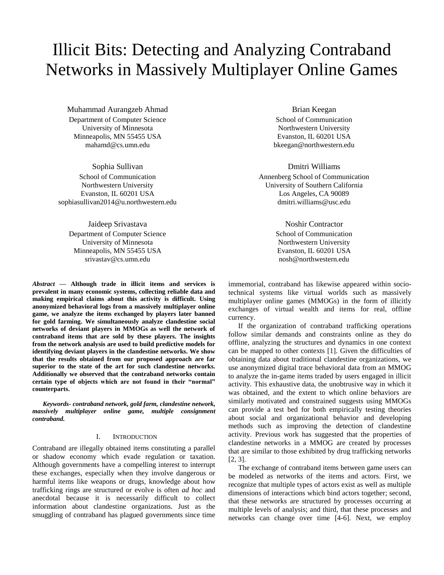# Illicit Bits: Detecting and Analyzing Contraband Networks in Massively Multiplayer Online Games

Muhammad Aurangzeb Ahmad Department of Computer Science University of Minnesota Minneapolis, MN 55455 USA mahamd@cs.umn.edu

Sophia Sullivan School of Communication Northwestern University Evanston, IL 60201 USA sophiasullivan2014@u.northwestern.edu

Jaideep Srivastava Department of Computer Science University of Minnesota Minneapolis, MN 55455 USA srivastav@cs.umn.edu

*Abstract* **— Although trade in illicit items and services is prevalent in many economic systems, collecting reliable data and making empirical claims about this activity is difficult. Using anonymized behavioral logs from a massively multiplayer online game, we analyze the items exchanged by players later banned for gold farming. We simultaneously analyze clandestine social networks of deviant players in MMOGs as well the network of contraband items that are sold by these players. The insights from the network analysis are used to build predictive models for identifying deviant players in the clandestine networks. We show that the results obtained from our proposed approach are far superior to the state of the art for such clandestine networks. Additionally we observed that the contraband networks contain certain type of objects which are not found in their "normal" counterparts.**

*Keywords- contraband network, gold farm, clandestine network, massively multiplayer online game, multiple consignment contraband.*

## I. INTRODUCTION

Contraband are illegally obtained items constituting a parallel or shadow economy which evade regulation or taxation. Although governments have a compelling interest to interrupt these exchanges, especially when they involve dangerous or harmful items like weapons or drugs, knowledge about how trafficking rings are structured or evolve is often *ad hoc* and anecdotal because it is necessarily difficult to collect information about clandestine organizations. Just as the smuggling of contraband has plagued governments since time

Brian Keegan

School of Communication Northwestern University Evanston, IL 60201 USA bkeegan@northwestern.edu

Dmitri Williams

Annenberg School of Communication University of Southern California Los Angeles, CA 90089 dmitri.williams@usc.edu

> Noshir Contractor School of Communication Northwestern University Evanston, IL 60201 USA nosh@northwestern.edu

immemorial, contraband has likewise appeared within sociotechnical systems like virtual worlds such as massively multiplayer online games (MMOGs) in the form of illicitly exchanges of virtual wealth and items for real, offline currency.

If the organization of contraband trafficking operations follow similar demands and constraints online as they do offline, analyzing the structures and dynamics in one context can be mapped to other contexts [1]. Given the difficulties of obtaining data about traditional clandestine organizations, we use anonymized digital trace behavioral data from an MMOG to analyze the in-game items traded by users engaged in illicit activity. This exhaustive data, the unobtrusive way in which it was obtained, and the extent to which online behaviors are similarly motivated and constrained suggests using MMOGs can provide a test bed for both empirically testing theories about social and organizational behavior and developing methods such as improving the detection of clandestine activity. Previous work has suggested that the properties of clandestine networks in a MMOG are created by processes that are similar to those exhibited by drug trafficking networks [2, 3].

The exchange of contraband items between game users can be modeled as networks of the items and actors. First, we recognize that multiple types of actors exist as well as multiple dimensions of interactions which bind actors together; second, that these networks are structured by processes occurring at multiple levels of analysis; and third, that these processes and networks can change over time [4-6]. Next, we employ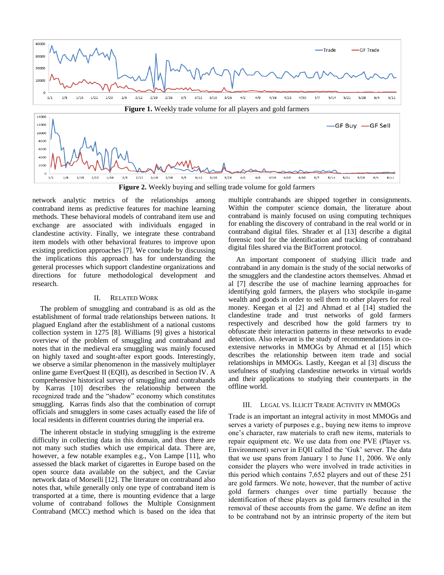

network analytic metrics of the relationships among contraband items as predictive features for machine learning methods. These behavioral models of contraband item use and exchange are associated with individuals engaged in clandestine activity. Finally, we integrate these contraband item models with other behavioral features to improve upon existing prediction approaches [7]. We conclude by discussing the implications this approach has for understanding the general processes which support clandestine organizations and directions for future methodological development and research.

## II. RELATED WORK

The problem of smuggling and contraband is as old as the establishment of formal trade relationships between nations. It plagued England after the establishment of a national customs collection system in 1275 [8]. Williams [9] gives a historical overview of the problem of smuggling and contraband and notes that in the medieval era smuggling was mainly focused on highly taxed and sought-after export goods. Interestingly, we observe a similar phenomenon in the massively multiplayer online game EverQuest II (EQII), as described in Section IV. A comprehensive historical survey of smuggling and contrabands by Karras [10] describes the relationship between the recognized trade and the "shadow" economy which constitutes smuggling. Karras finds also that the combination of corrupt officials and smugglers in some cases actually eased the life of local residents in different countries during the imperial era.

The inherent obstacle in studying smuggling is the extreme difficulty in collecting data in this domain, and thus there are not many such studies which use empirical data. There are, however, a few notable examples e.g., Von Lampe [11], who assessed the black market of cigarettes in Europe based on the open source data available on the subject, and the Caviar network data of Morselli [12]. The literature on contraband also notes that, while generally only one type of contraband item is transported at a time, there is mounting evidence that a large volume of contraband follows the Multiple Consignment Contraband (MCC) method which is based on the idea that multiple contrabands are shipped together in consignments. Within the computer science domain, the literature about contraband is mainly focused on using computing techniques for enabling the discovery of contraband in the real world or in contraband digital files. Shrader et al [13] describe a digital forensic tool for the identification and tracking of contraband digital files shared via the BitTorrent protocol.

An important component of studying illicit trade and contraband in any domain is the study of the social networks of the smugglers and the clandestine actors themselves. Ahmad et al [7] describe the use of machine learning approaches for identifying gold farmers, the players who stockpile in-game wealth and goods in order to sell them to other players for real money. Keegan et al [2] and Ahmad et al [14] studied the clandestine trade and trust networks of gold farmers respectively and described how the gold farmers try to obfuscate their interaction patterns in these networks to evade detection. Also relevant is the study of recommendations in coextensive networks in MMOGs by Ahmad et al [15] which describes the relationship between item trade and social relationships in MMOGs. Lastly, Keegan et al [3] discuss the usefulness of studying clandestine networks in virtual worlds and their applications to studying their counterparts in the offline world.

## III. LEGAL VS. ILLICIT TRADE ACTIVITY IN MMOGS

Trade is an important an integral activity in most MMOGs and serves a variety of purposes e.g., buying new items to improve one's character, raw materials to craft new items, materials to repair equipment etc. We use data from one PVE (Player vs. Environment) server in EQII called the 'Guk' server. The data that we use spans from January 1 to June 11, 2006. We only consider the players who were involved in trade activities in this period which contains 7,652 players and out of these 251 are gold farmers. We note, however, that the number of active gold farmers changes over time partially because the identification of these players as gold farmers resulted in the removal of these accounts from the game. We define an item to be contraband not by an intrinsic property of the item but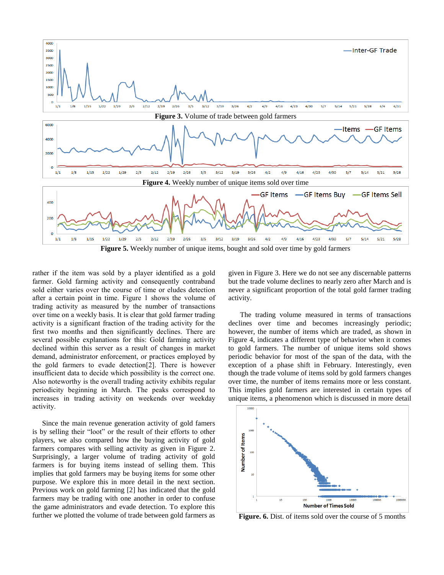

rather if the item was sold by a player identified as a gold farmer. Gold farming activity and consequently contraband sold either varies over the course of time or eludes detection after a certain point in time. Figure 1 shows the volume of trading activity as measured by the number of transactions over time on a weekly basis. It is clear that gold farmer trading activity is a significant fraction of the trading activity for the first two months and then significantly declines. There are several possible explanations for this: Gold farming activity declined within this server as a result of changes in market demand, administrator enforcement, or practices employed by the gold farmers to evade detection[2]. There is however insufficient data to decide which possibility is the correct one. Also noteworthy is the overall trading activity exhibits regular periodicity beginning in March. The peaks correspond to increases in trading activity on weekends over weekday activity.

Since the main revenue generation activity of gold famers is by selling their "loot" or the result of their efforts to other players, we also compared how the buying activity of gold farmers compares with selling activity as given in Figure 2. Surprisingly, a larger volume of trading activity of gold farmers is for buying items instead of selling them. This implies that gold farmers may be buying items for some other purpose. We explore this in more detail in the next section. Previous work on gold farming [2] has indicated that the gold farmers may be trading with one another in order to confuse the game administrators and evade detection. To explore this further we plotted the volume of trade between gold farmers as given in Figure 3. Here we do not see any discernable patterns but the trade volume declines to nearly zero after March and is never a significant proportion of the total gold farmer trading activity.

The trading volume measured in terms of transactions declines over time and becomes increasingly periodic; however, the number of items which are traded, as shown in Figure 4, indicates a different type of behavior when it comes to gold farmers. The number of unique items sold shows periodic behavior for most of the span of the data, with the exception of a phase shift in February. Interestingly, even though the trade volume of items sold by gold farmers changes over time, the number of items remains more or less constant. This implies gold farmers are interested in certain types of unique items, a phenomenon which is discussed in more detail



**Figure. 6.** Dist. of items sold over the course of 5 months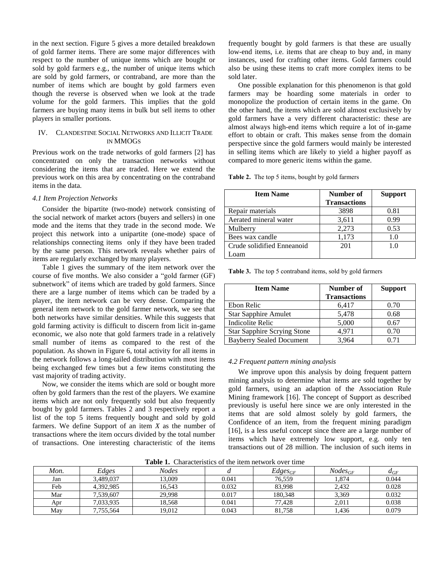in the next section. Figure 5 gives a more detailed breakdown of gold farmer items. There are some major differences with respect to the number of unique items which are bought or sold by gold farmers e.g., the number of unique items which are sold by gold farmers, or contraband, are more than the number of items which are bought by gold farmers even though the reverse is observed when we look at the trade volume for the gold farmers. This implies that the gold farmers are buying many items in bulk but sell items to other players in smaller portions.

# IV. CLANDESTINE SOCIAL NETWORKS AND ILLICIT TRADE IN MMOGS

Previous work on the trade networks of gold farmers [2] has concentrated on only the transaction networks without considering the items that are traded. Here we extend the previous work on this area by concentrating on the contraband items in the data.

## *4.1 Item Projection Networks*

Consider the bipartite (two-mode) network consisting of the social network of market actors (buyers and sellers) in one mode and the items that they trade in the second mode. We project this network into a unipartite (one-mode) space of relationships connecting items only if they have been traded by the same person. This network reveals whether pairs of items are regularly exchanged by many players.

Table 1 gives the summary of the item network over the course of five months. We also consider a "gold farmer (GF) subnetwork" of items which are traded by gold farmers. Since there are a large number of items which can be traded by a player, the item network can be very dense. Comparing the general item network to the gold farmer network, we see that both networks have similar densities. While this suggests that gold farming activity is difficult to discern from licit in-game economic, we also note that gold farmers trade in a relatively small number of items as compared to the rest of the population. As shown in Figure 6, total activity for all items in the network follows a long-tailed distribution with most items being exchanged few times but a few items constituting the vast majority of trading activity.

Now, we consider the items which are sold or bought more often by gold farmers than the rest of the players. We examine items which are not only frequently sold but also frequently bought by gold farmers. Tables 2 and 3 respectively report a list of the top 5 items frequently bought and sold by gold farmers. We define Support of an item *X* as the number of transactions where the item occurs divided by the total number of transactions. One interesting characteristic of the items

frequently bought by gold farmers is that these are usually low-end items, i.e. items that are cheap to buy and, in many instances, used for crafting other items. Gold farmers could also be using these items to craft more complex items to be sold later.

One possible explanation for this phenomenon is that gold farmers may be hoarding some materials in order to monopolize the production of certain items in the game. On the other hand, the items which are sold almost exclusively by gold farmers have a very different characteristic: these are almost always high-end items which require a lot of in-game effort to obtain or craft. This makes sense from the domain perspective since the gold farmers would mainly be interested in selling items which are likely to yield a higher payoff as compared to more generic items within the game.

**Table 2.** The top 5 items, bought by gold farmers

| <b>Item Name</b>           | Number of           | <b>Support</b> |
|----------------------------|---------------------|----------------|
|                            | <b>Transactions</b> |                |
| Repair materials           | 3898                | 0.81           |
| Aerated mineral water      | 3,611               | 0.99           |
| Mulberry                   | 2,273               | 0.53           |
| Bees wax candle            | 1,173               | 1.0            |
| Crude solidified Enneanoid | 201                 | 10             |
| oam                        |                     |                |

|  |  | Table 3. The top 5 contraband items, sold by gold farmers |  |  |  |
|--|--|-----------------------------------------------------------|--|--|--|
|--|--|-----------------------------------------------------------|--|--|--|

| <b>Item Name</b>                   | Number of           | <b>Support</b> |  |
|------------------------------------|---------------------|----------------|--|
|                                    | <b>Transactions</b> |                |  |
| Ebon Relic                         | 6,417               | 0.70           |  |
| <b>Star Sapphire Amulet</b>        | 5,478               | 0.68           |  |
| Indicolite Relic                   | 5,000               | 0.67           |  |
| <b>Star Sapphire Scrying Stone</b> | 4.971               | 0.70           |  |
| <b>Bayberry Sealed Document</b>    | 3,964               | 0.71           |  |

#### *4.2 Frequent pattern mining analysis*

We improve upon this analysis by doing frequent pattern mining analysis to determine what items are sold together by gold farmers, using an adaption of the Association Rule Mining framework [16]. The concept of Support as described previously is useful here since we are only interested in the items that are sold almost solely by gold farmers, the Confidence of an item, from the frequent mining paradigm [16], is a less useful concept since there are a large number of items which have extremely low support, e.g. only ten transactions out of 28 million. The inclusion of such items in

**Table 1.** Characteristics of the item network over time

| Mon. | Edges     | Nodes  |       | $Edges_{GF}$ | $Nodes_{GF}$ | $d_{GF}$ |
|------|-----------|--------|-------|--------------|--------------|----------|
| Jan  | 3.489.037 | 13.009 | 0.041 | 76.559       | .874         | 0.044    |
| Feb  | 4.392.985 | 16.543 | 0.032 | 83.998       | 2.432        | 0.028    |
| Mar  | 7.539.607 | 29.998 | 0.017 | 180.348      | 3.369        | 0.032    |
| Apr  | 7.033.935 | 18.568 | 0.041 | 77.428       | 2,011        | 0.038    |
| May  | 7,755,564 | 19,012 | 0.043 | 81,758       | .436         | 0.079    |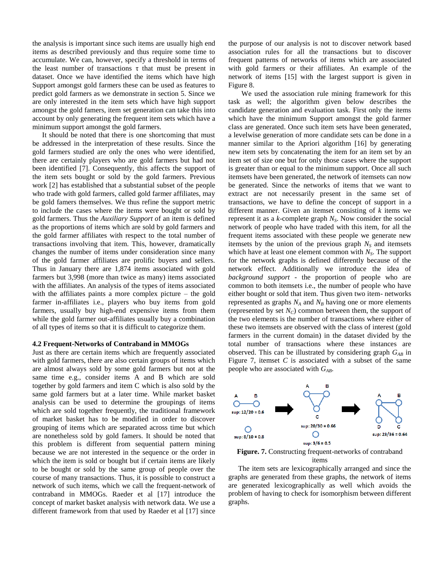the analysis is important since such items are usually high end items as described previously and thus require some time to accumulate. We can, however, specify a threshold in terms of the least number of transactions  $\tau$  that must be present in dataset. Once we have identified the items which have high Support amongst gold farmers these can be used as features to predict gold farmers as we demonstrate in section 5. Since we are only interested in the item sets which have high support amongst the gold famers, item set generation can take this into account by only generating the frequent item sets which have a minimum support amongst the gold farmers.

It should be noted that there is one shortcoming that must be addressed in the interpretation of these results. Since the gold farmers studied are only the ones who were identified, there are certainly players who are gold farmers but had not been identified [7]. Consequently, this affects the support of the item sets bought or sold by the gold farmers. Previous work [2] has established that a substantial subset of the people who trade with gold farmers, called gold farmer affiliates, may be gold famers themselves. We thus refine the support metric to include the cases where the items were bought or sold by gold farmers. Thus the *Auxiliary Support o*f an item is defined as the proportions of items which are sold by gold farmers and the gold farmer affiliates with respect to the total number of transactions involving that item. This, however, dramatically changes the number of items under consideration since many of the gold farmer affiliates are prolific buyers and sellers. Thus in January there are 1,874 items associated with gold farmers but 3,998 (more than twice as many) items associated with the affiliates. An analysis of the types of items associated with the affiliates paints a more complex picture – the gold farmer in-affiliates i.e., players who buy items from gold farmers, usually buy high-end expensive items from them while the gold farmer out-affiliates usually buy a combination of all types of items so that it is difficult to categorize them.

#### **4.2 Frequent-Networks of Contraband in MMOGs**

Just as there are certain items which are frequently associated with gold farmers, there are also certain groups of items which are almost always sold by some gold farmers but not at the same time e.g., consider items A and B which are sold together by gold farmers and item C which is also sold by the same gold farmers but at a later time. While market basket analysis can be used to determine the groupings of items which are sold together frequently, the traditional framework of market basket has to be modified in order to discover grouping of items which are separated across time but which are nonetheless sold by gold famers. It should be noted that this problem is different from sequential pattern mining because we are not interested in the sequence or the order in which the item is sold or bought but if certain items are likely to be bought or sold by the same group of people over the course of many transactions. Thus, it is possible to construct a network of such items, which we call the frequent-network of contraband in MMOGs. Raeder et al [17] introduce the concept of market basket analysis with network data. We use a different framework from that used by Raeder et al [17] since the purpose of our analysis is not to discover network based association rules for all the transactions but to discover frequent patterns of networks of items which are associated with gold farmers or their affiliates. An example of the network of items [15] with the largest support is given in Figure 8.

We used the association rule mining framework for this task as well; the algorithm given below describes the candidate generation and evaluation task. First only the items which have the minimum Support amongst the gold farmer class are generated. Once such item sets have been generated, a levelwise generation of more candidate sets can be done in a manner similar to the Apriori algorithm [16] by generating new item sets by concatenating the item for an item set by an item set of size one but for only those cases where the support is greater than or equal to the minimum support. Once all such itemsets have been generated, the network of itemsets can now be generated. Since the networks of items that we want to extract are not necessarily present in the same set of transactions, we have to define the concept of support in a different manner. Given an itemset consisting of *k* items we represent it as a *k*-complete graph *NS*. Now consider the social network of people who have traded with this item, for all the frequent items associated with these people we generate new itemsets by the union of the previous graph  $N<sub>S</sub>$  and itemsets which have at least one element common with *NS*. The support for the network graphs is defined differently because of the network effect. Additionally we introduce the idea of *background support -* the proportion of people who are common to both itemsets i.e., the number of people who have either bought or sold that item. Thus given two item- networks represented as graphs *N<sup>A</sup>* and *N<sup>B</sup>* having one or more elements (represented by set *NC*) common between them, the support of the two elements is the number of transactions where either of these two itemsets are observed with the class of interest (gold farmers in the current domain) in the dataset divided by the total number of transactions where these instances are observed. This can be illustrated by considering graph *GAB* in Figure 7, itemset *C* is associated with a subset of the same people who are associated with *GAB*.





The item sets are lexicographically arranged and since the graphs are generated from these graphs, the network of items are generated lexicographically as well which avoids the problem of having to check for isomorphism between different graphs.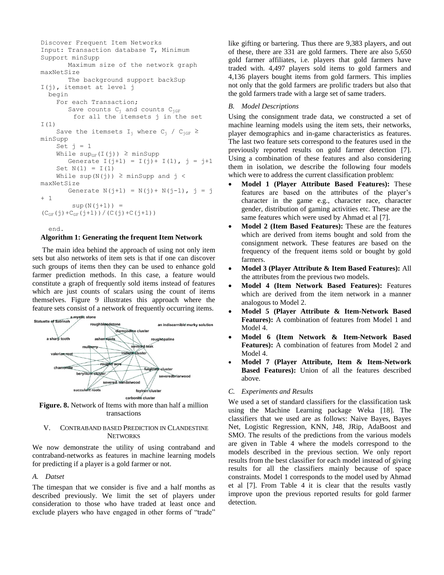```
Discover Frequent Item Networks
Input: Transaction database T, Minimum 
Support minSupp
        Maximum size of the network graph 
maxNetSize
        The background support backSup
I(j), itemset at level j
   begin
     For each Transaction;
       Save counts C_j and counts C_{jGF} for all the itemsets j in the set 
I(1)Save the itemsets I_j where C_j / C_{jGF} ≥
minSupp
    Set j = 1While \sup_{GF} (I(j)) \geq minSuppGenerate I(j+1) = I(j) + I(1), j = j+1Set N(1) = I(1)While sup(N(j)) \geq minSupp and j <maxNetSize
       Generate N(j+1) = N(j) + N(j-1), j = j+ 1
        sup(N(j+1)) =(C_{GF}(j)+C_{GF}(j+1)) / (C(j)+C(j+1))
```

```
 end.
```
## **Algorithm 1: Generating the frequent Item Network**

The main idea behind the approach of using not only item sets but also networks of item sets is that if one can discover such groups of items then they can be used to enhance gold farmer prediction methods. In this case, a feature would constitute a graph of frequently sold items instead of features which are just counts of scalars using the count of items themselves. Figure 9 illustrates this approach where the feature sets consist of a network of frequently occurring items.



**Figure. 8.** Network of Items with more than half a million transactions

# V. CONTRABAND BASED PREDICTION IN CLANDESTINE **NETWORKS**

We now demonstrate the utility of using contraband and contraband-networks as features in machine learning models for predicting if a player is a gold farmer or not.

# *A. Datset*

The timespan that we consider is five and a half months as described previously. We limit the set of players under consideration to those who have traded at least once and exclude players who have engaged in other forms of "trade" like gifting or bartering. Thus there are 9,383 players, and out of these, there are 331 are gold farmers. There are also 5,650 gold farmer affiliates, i.e. players that gold farmers have traded with. 4,497 players sold items to gold farmers and 4,136 players bought items from gold farmers. This implies not only that the gold farmers are prolific traders but also that the gold farmers trade with a large set of same traders.

# *B. Model Descriptions*

Using the consignment trade data, we constructed a set of machine learning models using the item sets, their networks, player demographics and in-game characteristics as features. The last two feature sets correspond to the features used in the previously reported results on gold farmer detection [7]. Using a combination of these features and also considering them in isolation, we describe the following four models which were to address the current classification problem:

- **Model 1 (Player Attribute Based Features):** These features are based on the attributes of the player's character in the game e.g., character race, character gender, distribution of gaming activities etc. These are the same features which were used by Ahmad et al [7].
- **Model 2 (Item Based Features):** These are the features which are derived from items bought and sold from the consignment network. These features are based on the frequency of the frequent items sold or bought by gold farmers.
- **Model 3 (Player Attribute & Item Based Features):** All the attributes from the previous two models.
- **Model 4 (Item Network Based Features):** Features which are derived from the item network in a manner analogous to Model 2.
- **Model 5 (Player Attribute & Item-Network Based Features):** A combination of features from Model 1 and Model 4.
- **Model 6 (Item Network & Item-Network Based Features):** A combination of features from Model 2 and Model 4.
- **Model 7 (Player Attribute, Item & Item-Network Based Features):** Union of all the features described above.

# *C. Experiments and Results*

We used a set of standard classifiers for the classification task using the Machine Learning package Weka [18]. The classifiers that we used are as follows: Naive Bayes, Bayes Net, Logistic Regression, KNN, J48, JRip, AdaBoost and SMO. The results of the predictions from the various models are given in Table 4 where the models correspond to the models described in the previous section. We only report results from the best classifier for each model instead of giving results for all the classifiers mainly because of space constraints. Model 1 corresponds to the model used by Ahmad et al [7]. From Table 4 it is clear that the results vastly improve upon the previous reported results for gold farmer detection.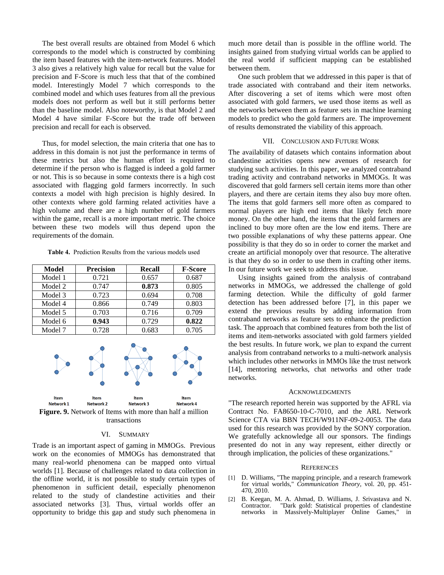The best overall results are obtained from Model 6 which corresponds to the model which is constructed by combining the item based features with the item-network features. Model 3 also gives a relatively high value for recall but the value for precision and F-Score is much less that that of the combined model. Interestingly Model 7 which corresponds to the combined model and which uses features from all the previous models does not perform as well but it still performs better than the baseline model. Also noteworthy, is that Model 2 and Model 4 have similar F-Score but the trade off between precision and recall for each is observed.

Thus, for model selection, the main criteria that one has to address in this domain is not just the performance in terms of these metrics but also the human effort is required to determine if the person who is flagged is indeed a gold farmer or not. This is so because in some contexts there is a high cost associated with flagging gold farmers incorrectly. In such contexts a model with high precision is highly desired. In other contexts where gold farming related activities have a high volume and there are a high number of gold farmers within the game, recall is a more important metric. The choice between these two models will thus depend upon the requirements of the domain.

**Table 4.** Prediction Results from the various models used

| <b>Model</b> | <b>Precision</b> | Recall | <b>F-Score</b> |
|--------------|------------------|--------|----------------|
| Model 1      | 0.721            | 0.657  | 0.687          |
| Model 2      | 0.747            | 0.873  | 0.805          |
| Model 3      | 0.723            | 0.694  | 0.708          |
| Model 4      | 0.866            | 0.749  | 0.803          |
| Model 5      | 0.703            | 0.716  | 0.709          |
| Model 6      | 0.943            | 0.729  | 0.822          |
| Model 7      | 0.728            | 0.683  | 0.705          |



transactions

## VI. SUMMARY

Trade is an important aspect of gaming in MMOGs. Previous work on the economies of MMOGs has demonstrated that many real-world phenomena can be mapped onto virtual worlds [1]. Because of challenges related to data collection in the offline world, it is not possible to study certain types of phenomenon in sufficient detail, especially phenomenon related to the study of clandestine activities and their associated networks [3]. Thus, virtual worlds offer an opportunity to bridge this gap and study such phenomena in

much more detail than is possible in the offline world. The insights gained from studying virtual worlds can be applied to the real world if sufficient mapping can be established between them.

One such problem that we addressed in this paper is that of trade associated with contraband and their item networks. After discovering a set of items which were most often associated with gold farmers, we used those items as well as the networks between them as feature sets in machine learning models to predict who the gold farmers are. The improvement of results demonstrated the viability of this approach.

#### VII. CONCLUSION AND FUTURE WORK

The availability of datasets which contains information about clandestine activities opens new avenues of research for studying such activities. In this paper, we analyzed contraband trading activity and contraband networks in MMOGs. It was discovered that gold farmers sell certain items more than other players, and there are certain items they also buy more often. The items that gold farmers sell more often as compared to normal players are high end items that likely fetch more money. On the other hand, the items that the gold farmers are inclined to buy more often are the low end items. There are two possible explanations of why these patterns appear. One possibility is that they do so in order to corner the market and create an artificial monopoly over that resource. The alterative is that they do so in order to use them in crafting other items. In our future work we seek to address this issue.

Using insights gained from the analysis of contraband networks in MMOGs, we addressed the challenge of gold farming detection. While the difficulty of gold farmer detection has been addressed before [7], in this paper we extend the previous results by adding information from contraband networks as feature sets to enhance the prediction task. The approach that combined features from both the list of items and item-networks associated with gold farmers yielded the best results. In future work, we plan to expand the current analysis from contraband networks to a multi-network analysis which includes other networks in MMOs like the trust network [14], mentoring networks, chat networks and other trade networks.

#### ACKNOWLEDGMENTS

"The research reported herein was supported by the AFRL via Contract No. FA8650-10-C-7010, and the ARL Network Science CTA via BBN TECH/W911NF-09-2-0053. The data used for this research was provided by the SONY corporation. We gratefully acknowledge all our sponsors. The findings presented do not in any way represent, either directly or through implication, the policies of these organizations."

#### **REFERENCES**

- [1] D. Williams, "The mapping principle, and a research framework for virtual worlds," *Communication Theory,* vol. 20, pp. 451- 470, 2010.
- [2] B. Keegan, M. A. Ahmad, D. Williams, J. Srivastava and N. Contractor. "Dark gold: Statistical properties of clandestine networks in Massively-Multiplayer Online Games," in